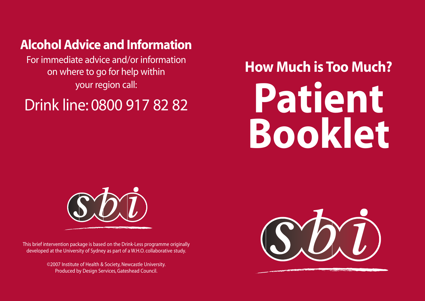## **Alcohol Advice and Information**

For immediate advice and/or information on where to go for help within your region call:

## Drink line: 0800 917 82 82

# **Patient Booklet How Much is Too Much?**



This brief intervention package is based on the Drink-Less programme originally developed at the University of Sydney as part of a W.H.O. collaborative study.

> ©2007 Institute of Health & Society, Newcastle University. Produced by Design Services, Gateshead Council.

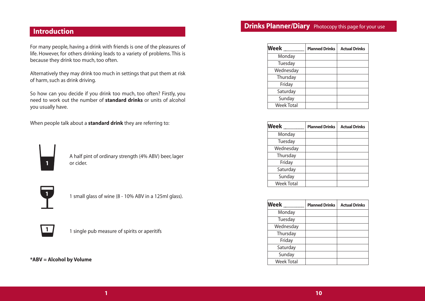#### **Introduction**

For many people, having a drink with friends is one of the pleasures of life. However, for others drinking leads to a variety of problems. This is because they drink too much, too often.

Alternatively they may drink too much in settings that put them at risk of harm, such as drink driving.

So how can you decide if you drink too much, too often? Firstly, you need to work out the number of **standard drinks** or units of alcohol you usually have.

When people talk about a **standard drink** they are referring to:



A half pint of ordinary strength (4% ABV) beer, lager or cider.



1 small glass of wine (8 - 10% ABV in a 125ml glass).



|  | 1 single pub measure of spirits or aperitifs |  |  |
|--|----------------------------------------------|--|--|
|  |                                              |  |  |

**\*ABV = Alcohol by Volume**

#### **Drinks Planner/Diary** Photocopy this page for your use

| <b>Week</b>       | <b>Planned Drinks</b> | <b>Actual Drinks</b> |
|-------------------|-----------------------|----------------------|
| Monday            |                       |                      |
| Tuesday           |                       |                      |
| Wednesday         |                       |                      |
| Thursday          |                       |                      |
| Friday            |                       |                      |
| Saturday          |                       |                      |
| Sunday            |                       |                      |
| <b>Week Total</b> |                       |                      |

| <b>Week</b>       | <b>Planned Drinks</b> | <b>Actual Drinks</b> |
|-------------------|-----------------------|----------------------|
| Monday            |                       |                      |
| Tuesday           |                       |                      |
| Wednesday         |                       |                      |
| Thursday          |                       |                      |
| Friday            |                       |                      |
| Saturday          |                       |                      |
| Sunday            |                       |                      |
| <b>Week Total</b> |                       |                      |

| <b>Week</b>       | <b>Planned Drinks</b> | <b>Actual Drinks</b> |
|-------------------|-----------------------|----------------------|
| Monday            |                       |                      |
| Tuesday           |                       |                      |
| Wednesday         |                       |                      |
| Thursday          |                       |                      |
| Friday            |                       |                      |
| Saturday          |                       |                      |
| Sunday            |                       |                      |
| <b>Week Total</b> |                       |                      |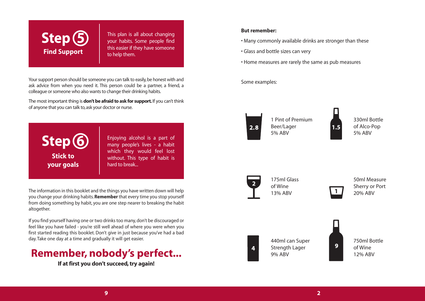

This plan is all about changing your habits. Some people find this easier if they have someone to help them.

ask advice from when you need it. This person could be a partner, a friend, a colleague or someone who also wants to change their drinking habits.

The most important thing is **don't be afraid to ask for support.**If you can't think of anyone that you can talk to, ask your doctor or nurse.



The information in this booklet and the things you have written down will help you change your drinking habits.**Remember** that every time you stop yourself from doing something by habit, you are one step nearer to breaking the habit altogether.

If you find yourself having one or two drinks too many, don't be discouraged or feel like you have failed - you're still well ahead of where you were when you first started reading this booklet. Don't give in just because you've had a bad day. Take one day at a time and gradually it will get easier.

### **Remember, nobody's perfect...**

**If at first you don't succeed, try again!**

#### **But remember:**

- Many commonly available drinks are stronger than these
- Glass and bottle sizes can very
- Home measures are rarely the same as pub measures

Some examples:



1 Pint of Premium Beer/Lager 5% ABV

330ml Bottle of Alco-Pop 5% ABV



175ml Glass of Wine 13% ABV

50ml Measure Sherry or Port 20% ABV



440ml can Super Strength Lager 9% ABV

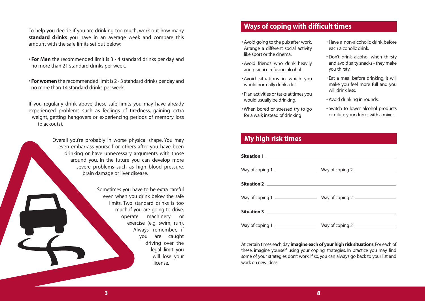To help you decide if you are drinking too much, work out how many **standard drinks** you have in an average week and compare this amount with the safe limits set out below:

- **For Men** the recommended limit is 3 4 standard drinks per day and no more than 21 standard drinks per week.
- **For women** the recommended limit is 2 3 standard drinks per day and no more than 14 standard drinks per week.

If you regularly drink above these safe limits you may have already experienced problems such as feelings of tiredness, gaining extra weight, getting hangovers or experiencing periods of memory loss (blackouts).

> Overall you're probably in worse physical shape. You may even embarrass yourself or others after you have been drinking or have unnecessary arguments with those around you. In the future you can develop more severe problems such as high blood pressure, brain damage or liver disease.

> > Sometimes you have to be extra careful even when you drink below the safe limits. Two standard drinks is too much if you are going to drive, operate machinery or exercise (e.g. swim, run). Always remember, if you are caught driving over the legal limit you will lose your license.

#### **Ways of coping with difficult times**

- Avoid going to the pub after work. Arrange a different social activity like sport or the cinema.
- Avoid friends who drink heavily and practice refusing alcohol.
- Avoid situations in which you would normally drink a lot.
- Plan activities or tasks at times you would usually be drinking.
- When bored or stressed try to go for a walk instead of drinking
- Have a non-alcoholic drink before each alcoholic drink.
- Don't drink alcohol when thirsty and avoid salty snacks - they make you thirsty.
- Eat a meal before drinking, it will make you feel more full and you will drink less.
- Avoid drinking in rounds.
- Switch to lower alcohol products or dilute your drinks with a mixer.

#### **My high risk times**

At certain times each day **imagine each of your high risk situations**.For each of these, imagine yourself using your coping strategies. In practice you may find some of your strategies don't work. If so, you can always go back to your list and work on new ideas.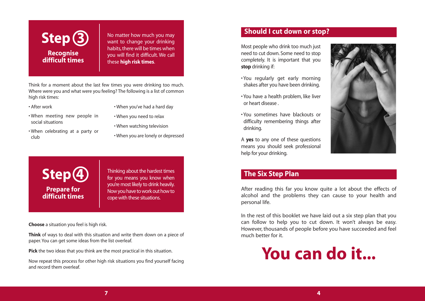

No matter how much you may want to change your drinking habits, there will be times when you will find it difficult. We call these **high risk times**.

Think for a moment about the last few times you were drinking too much. Where were you and what were you feeling? The following is a list of common high risk times:

• After work

- When you've had a hard day
- When meeting new people in social situations
- When you need to relax • When watching television
- When celebrating at a party or club
- When you are lonely or depressed



Thinking about the hardest times for you means you know when you're most likely to drink heavily. Now you have to work out how to cope with these situations.

**Choose** a situation you feel is high risk.

**Think** of ways to deal with this situation and write them down on a piece of paper. You can get some ideas from the list overleaf.

**Pick** the two ideas that you think are the most practical in this situation.

Now repeat this process for other high risk situations you find yourself facing and record them overleaf.

#### **Should I cut down or stop?**

Most people who drink too much just need to cut down. Some need to stop completely. It is important that you **stop** drinking if:

- You regularly get early morning shakes after you have been drinking.
- You have a health problem, like liver or heart disease .
- You sometimes have blackouts or difficulty remembering things after drinking.

A **yes** to any one of these questions means you should seek professional help for your drinking.



#### **The Six Step Plan**

After reading this far you know quite a lot about the effects of alcohol and the problems they can cause to your health and personal life.

In the rest of this booklet we have laid out a six step plan that you can follow to help you to cut down. It won't always be easy. However, thousands of people before you have succeeded and feel much better for it.

## **You can do it...**